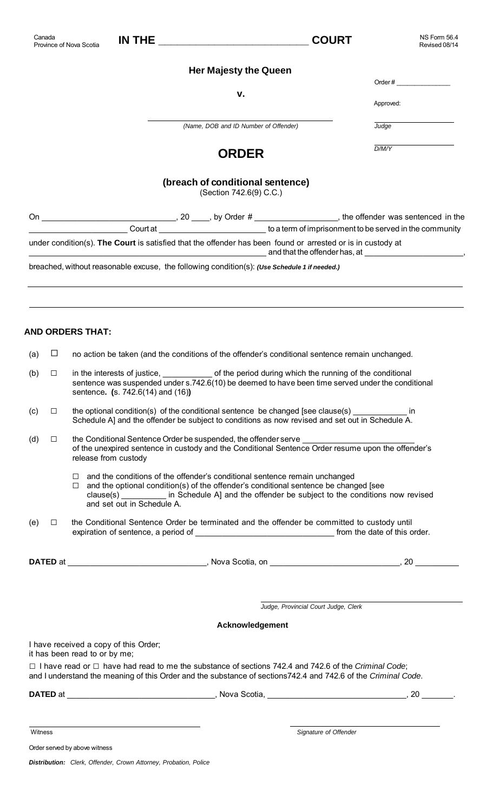Province of Nova Scotia **IN THE \_\_\_\_\_\_\_\_\_\_\_\_\_\_\_\_\_\_\_\_\_\_\_\_ COURT**

NS Form 56.4 Revised 08/14

## **Her Majesty the Queen**

**v.**

| Order# |  |  |
|--------|--|--|
|        |  |  |

**Approved:** The contract of the contract of the contract of the contract of the contract of the contract of the contract of the contract of the contract of the contract of the contract of the contract of the contract of th

*Judge*

*D/M/Y*

*(Name, DOB and ID Number of Offender)*

## **ORDER**

## **(breach of conditional sentence)**

(Section 742.6(9) C.C.)

| On  |        |                                                                                                                                                                                                                      |                                                                                                                                                                |
|-----|--------|----------------------------------------------------------------------------------------------------------------------------------------------------------------------------------------------------------------------|----------------------------------------------------------------------------------------------------------------------------------------------------------------|
|     |        |                                                                                                                                                                                                                      | $\begin{array}{c} \begin{array}{c} \begin{array}{c} \end{array} \end{array}$ 20 _____, by Order # _______________, the offender was sentenced in the community |
|     |        | under condition(s). The Court is satisfied that the offender has been found or arrested or is in custody at                                                                                                          | and that the offender has, at example and that the offender has, at                                                                                            |
|     |        | breached, without reasonable excuse, the following condition(s): (Use Schedule 1 if needed.)                                                                                                                         |                                                                                                                                                                |
|     |        |                                                                                                                                                                                                                      |                                                                                                                                                                |
|     |        | <b>AND ORDERS THAT:</b>                                                                                                                                                                                              |                                                                                                                                                                |
| (a) | ப      | no action be taken (and the conditions of the offender's conditional sentence remain unchanged.                                                                                                                      |                                                                                                                                                                |
| (b) | $\Box$ | in the interests of justice, _______________ of the period during which the running of the conditional<br>sentence. (s. 742.6(14) and (16))                                                                          | sentence was suspended under s.742.6(10) be deemed to have been time served under the conditional                                                              |
| (c) | $\Box$ | the optional condition(s) of the conditional sentence be changed [see clause(s)<br>Schedule A] and the offender be subject to conditions as now revised and set out in Schedule A.                                   | <sub>in</sub>                                                                                                                                                  |
| (d) | □      | the Conditional Sentence Order be suspended, the offender serve _______________________<br>release from custody                                                                                                      | of the unexpired sentence in custody and the Conditional Sentence Order resume upon the offender's                                                             |
|     |        | and the conditions of the offender's conditional sentence remain unchanged<br>$\Box$<br>and the optional condition(s) of the offender's conditional sentence be changed [see<br>$\Box$<br>and set out in Schedule A. | clause(s) ____________ in Schedule A] and the offender be subject to the conditions now revised                                                                |

(e)  $\Box$  the Conditional Sentence Order be terminated and the offender be committed to custody until expiration of sentence, a period of \_\_\_\_\_\_\_\_\_\_\_\_\_\_\_\_\_\_\_\_\_\_\_\_\_\_\_\_\_\_\_ from the date of this order.

**DATED** at \_\_\_\_\_\_\_\_\_\_\_\_\_\_\_\_\_\_\_\_\_\_\_\_\_\_\_\_\_\_\_, Nova Scotia, on \_\_\_\_\_\_\_\_\_\_\_\_\_\_\_\_\_\_\_\_\_\_\_\_\_\_\_\_\_, 20 \_\_\_\_

*Judge, Provincial Court Judge, Clerk*

 **Acknowledgement**

I have received a copy of this Order;

it has been read to or by me;

□ I have read or □ have had read to me the substance of sections 742.4 and 742.6 of the *Criminal Code*; and I understand the meaning of this Order and the substance of sections742.4 and 742.6 of the *Criminal Code*.

**DATED** at \_\_\_\_\_\_\_\_\_\_\_\_\_\_\_\_\_\_\_\_\_\_\_\_\_\_\_\_\_\_\_\_\_\_, Nova Scotia, \_\_\_\_\_\_\_\_\_\_\_\_\_\_\_\_\_\_\_\_\_\_\_\_\_\_\_\_\_\_\_\_\_, 20 \_\_\_\_\_\_\_\_.

Witness *Signature of Offender*

Order served by above witness

*Distribution: Clerk, Offender, Crown Attorney, Probation, Police*